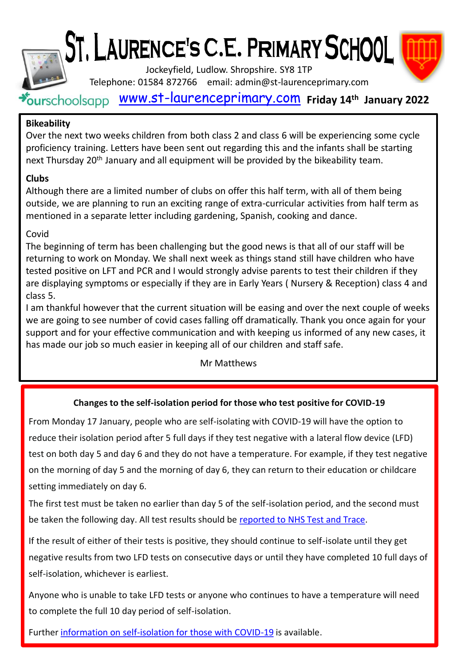

# ST. LAURENCE'S C.E. PRIMARY SCHOOL



Jockeyfield, Ludlow. Shropshire. SY8 1TP

Telephone: 01584 872766 email: admin@st-laurenceprimary.com

[www.st-laurenceprimary.com](http://www.st-laurenceprimary.com/) **Friday 14th January 2022**

# **Bikeability**

Over the next two weeks children from both class 2 and class 6 will be experiencing some cycle proficiency training. Letters have been sent out regarding this and the infants shall be starting next Thursday 20<sup>th</sup> January and all equipment will be provided by the bikeability team.

# **Clubs**

Although there are a limited number of clubs on offer this half term, with all of them being outside, we are planning to run an exciting range of extra-curricular activities from half term as mentioned in a separate letter including gardening, Spanish, cooking and dance.

# Covid

The beginning of term has been challenging but the good news is that all of our staff will be returning to work on Monday. We shall next week as things stand still have children who have tested positive on LFT and PCR and I would strongly advise parents to test their children if they are displaying symptoms or especially if they are in Early Years ( Nursery & Reception) class 4 and class 5.

I am thankful however that the current situation will be easing and over the next couple of weeks we are going to see number of covid cases falling off dramatically. Thank you once again for your support and for your effective communication and with keeping us informed of any new cases, it has made our job so much easier in keeping all of our children and staff safe.

## Mr Matthews

# **Changes to the self-isolation period for those who test positive for COVID-19**

From Monday 17 January, people who are self-isolating with COVID-19 will have the option to reduce their isolation period after 5 full days if they test negative with a lateral flow device (LFD) test on both day 5 and day 6 and they do not have a temperature. For example, if they test negative on the morning of day 5 and the morning of day 6, they can return to their education or childcare setting immediately on day 6.

The first test must be taken no earlier than day 5 of the self-isolation period, and the second must be taken the following day. All test results should be [reported to NHS Test and Trace](https://www.gov.uk/report-covid19-result?utm_source=14%20January%202022%20C19&utm_medium=Daily%20Email%20C19&utm_campaign=DfE%20C19).

If the result of either of their tests is positive, they should continue to self-isolate until they get negative results from two LFD tests on consecutive days or until they have completed 10 full days of self-isolation, whichever is earliest.

Anyone who is unable to take LFD tests or anyone who continues to have a temperature will need to complete the full 10 day period of self-isolation.

Further [information on self-isolation for those with COVID-19](https://www.gov.uk/government/news/self-isolation-for-those-with-covid-19-can-end-after-five-full-days-following-two-negative-lfd-tests?utm_source=14%20January%202022%20C19&utm_medium=Daily%20Email%20C19&utm_campaign=DfE%20C19) is available.